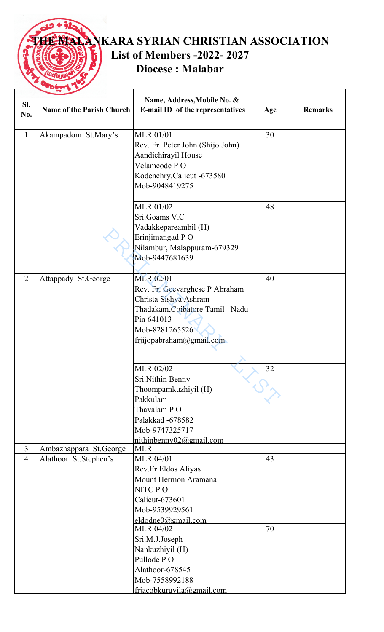

**TANKARA SYRIAN CHRISTIAN ASSOCIATION List of Members -2022- 2027 Diocese : Malabar**

| SI.<br>No.     | <b>Name of the Parish Church</b> | Name, Address, Mobile No. &<br>E-mail ID of the representatives                                                                                                           | Age | <b>Remarks</b> |
|----------------|----------------------------------|---------------------------------------------------------------------------------------------------------------------------------------------------------------------------|-----|----------------|
| $\mathbf{1}$   | Akampadom St.Mary's              | <b>MLR 01/01</b><br>Rev. Fr. Peter John (Shijo John)<br>Aandichirayil House<br>Velamcode PO<br>Kodenchry, Calicut -673580<br>Mob-9048419275                               | 30  |                |
|                |                                  | <b>MLR 01/02</b><br>Sri.Goams V.C<br>Vadakkepareambil (H)<br>Erinjimangad PO<br>Nilambur, Malappuram-679329<br>Mob-9447681639                                             | 48  |                |
| $\overline{2}$ | Attappady St.George              | <b>MLR 02/01</b><br>Rev. Fr. Geevarghese P Abraham<br>Christa Sishya Ashram<br>Thadakam, Coibatore Tamil Nadu<br>Pin 641013<br>Mob-8281265526<br>frjijopabraham@gmail.com | 40  |                |
|                |                                  | <b>MLR 02/02</b><br>Sri.Nithin Benny<br>Thoompamkuzhiyil (H)<br>Pakkulam<br>Thavalam PO<br>Palakkad -678582<br>Mob-9747325717<br>nithinbennv02@gmail.com                  | 32  |                |
| $\overline{3}$ | Ambazhappara St.George           | <b>MLR</b>                                                                                                                                                                |     |                |
| $\overline{4}$ | Alathoor St.Stephen's            | <b>MLR 04/01</b><br>Rev.Fr.Eldos Aliyas<br>Mount Hermon Aramana<br>NITC PO<br>Calicut-673601<br>Mob-9539929561<br>eldodne0@gmail.com                                      | 43  |                |
|                |                                  | <b>MLR 04/02</b><br>Sri.M.J.Joseph<br>Nankuzhiyil (H)<br>Pullode PO<br>Alathoor-678545<br>Mob-7558992188<br>frjacobkuruvila@gmail.com                                     | 70  |                |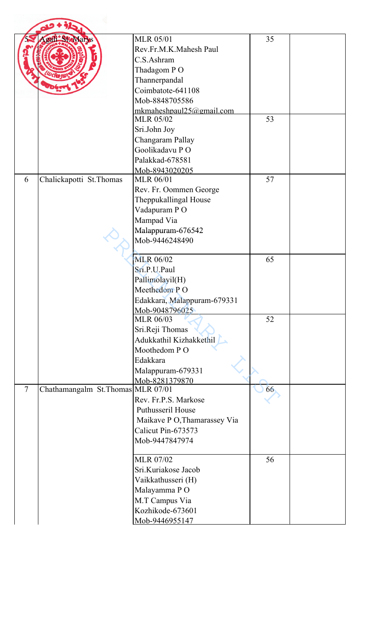|        | di SteMarys                       | <b>MLR 05/01</b>                             | 35 |  |
|--------|-----------------------------------|----------------------------------------------|----|--|
|        |                                   | Rev.Fr.M.K.Mahesh Paul                       |    |  |
|        |                                   | C.S.Ashram                                   |    |  |
|        |                                   |                                              |    |  |
|        |                                   | Thadagom PO                                  |    |  |
|        |                                   | Thannerpandal                                |    |  |
|        |                                   | Coimbatote-641108                            |    |  |
|        |                                   | Mob-8848705586                               |    |  |
|        |                                   | mkmaheshpaul25@gmail.com<br><b>MLR 05/02</b> | 53 |  |
|        |                                   | Sri.John Joy                                 |    |  |
|        |                                   | Changaram Pallay                             |    |  |
|        |                                   | Goolikadavu PO                               |    |  |
|        |                                   | Palakkad-678581                              |    |  |
|        |                                   | Mob-8943020205                               |    |  |
| 6      | Chalickapotti St. Thomas          | <b>MLR 06/01</b>                             | 57 |  |
|        |                                   | Rev. Fr. Oommen George                       |    |  |
|        |                                   | Theppukallingal House                        |    |  |
|        |                                   | Vadapuram PO                                 |    |  |
|        |                                   | Mampad Via                                   |    |  |
|        |                                   | Malappuram-676542                            |    |  |
|        |                                   | Mob-9446248490                               |    |  |
|        |                                   |                                              |    |  |
|        |                                   | <b>MLR 06/02</b>                             | 65 |  |
|        |                                   | Sri.P.U.Paul                                 |    |  |
|        |                                   | Pallimolayil(H)                              |    |  |
|        |                                   | Meethedom PO                                 |    |  |
|        |                                   | Edakkara, Malappuram-679331                  |    |  |
|        |                                   | Mob-9048796025                               |    |  |
|        |                                   | <b>MLR 06/03</b>                             | 52 |  |
|        |                                   | Sri.Reji Thomas                              |    |  |
|        |                                   | Adukkathil Kizhakkethil                      |    |  |
|        |                                   | Moothedom PO                                 |    |  |
|        |                                   | Edakkara                                     |    |  |
|        |                                   | Malappuram-679331                            |    |  |
|        |                                   | Mob-8281379870                               |    |  |
| $\tau$ | Chathamangalm St.Thomas MLR 07/01 |                                              | 66 |  |
|        |                                   | Rev. Fr.P.S. Markose                         |    |  |
|        |                                   | Puthusseril House                            |    |  |
|        |                                   | Maikave P O, Thamarassey Via                 |    |  |
|        |                                   | Calicut Pin-673573                           |    |  |
|        |                                   | Mob-9447847974                               |    |  |
|        |                                   |                                              |    |  |
|        |                                   | <b>MLR 07/02</b>                             | 56 |  |
|        |                                   | Sri.Kuriakose Jacob                          |    |  |
|        |                                   | Vaikkathusseri (H)                           |    |  |
|        |                                   | Malayamma PO                                 |    |  |
|        |                                   | M.T Campus Via                               |    |  |
|        |                                   | Kozhikode-673601                             |    |  |
|        |                                   | Mob-9446955147                               |    |  |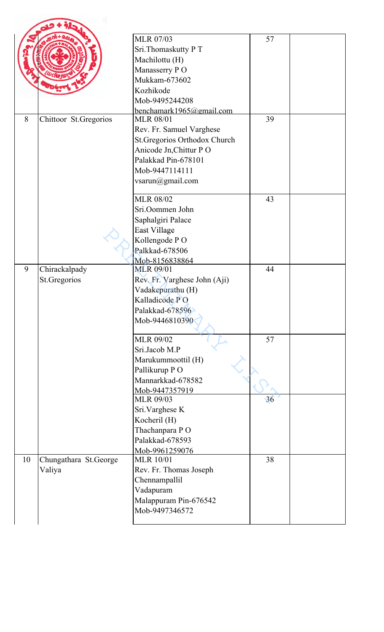|    |                       | <b>MLR 07/03</b>                   |    |  |
|----|-----------------------|------------------------------------|----|--|
|    |                       |                                    | 57 |  |
|    |                       | Sri.Thomaskutty PT                 |    |  |
|    |                       | Machilottu (H)                     |    |  |
|    |                       | Manasserry PO                      |    |  |
|    |                       | Mukkam-673602                      |    |  |
|    |                       | Kozhikode                          |    |  |
|    |                       | Mob-9495244208                     |    |  |
|    |                       | benchamark1965@gmail.com           |    |  |
| 8  | Chittoor St.Gregorios | <b>MLR 08/01</b>                   | 39 |  |
|    |                       | Rev. Fr. Samuel Varghese           |    |  |
|    |                       | St.Gregorios Orthodox Church       |    |  |
|    |                       | Anicode Jn, Chittur PO             |    |  |
|    |                       | Palakkad Pin-678101                |    |  |
|    |                       | Mob-9447114111                     |    |  |
|    |                       | vsarun@gmail.com                   |    |  |
|    |                       |                                    |    |  |
|    |                       | <b>MLR 08/02</b>                   | 43 |  |
|    |                       | Sri.Oommen John                    |    |  |
|    |                       | Saphalgiri Palace                  |    |  |
|    |                       | East Village                       |    |  |
|    |                       | Kollengode PO                      |    |  |
|    |                       | Palkkad-678506                     |    |  |
|    |                       |                                    |    |  |
| 9  | Chirackalpady         | Mob-8156838864<br><b>MLR 09/01</b> | 44 |  |
|    | St.Gregorios          | Rev. Fr. Varghese John (Aji)       |    |  |
|    |                       | Vadakepurathu (H)                  |    |  |
|    |                       | Kalladicode PO                     |    |  |
|    |                       | Palakkad-678596                    |    |  |
|    |                       |                                    |    |  |
|    |                       | Mob-9446810390                     |    |  |
|    |                       | MLR 09/02                          | 57 |  |
|    |                       | Sri.Jacob M.P                      |    |  |
|    |                       | Marukummoottil (H)                 |    |  |
|    |                       | Pallikurup PO                      |    |  |
|    |                       | Mannarkkad-678582                  |    |  |
|    |                       | Mob-9447357919                     |    |  |
|    |                       | <b>MLR 09/03</b>                   | 36 |  |
|    |                       | Sri. Varghese K                    |    |  |
|    |                       | Kocheril (H)                       |    |  |
|    |                       | Thachanpara PO                     |    |  |
|    |                       | Palakkad-678593                    |    |  |
|    |                       | Mob-9961259076                     |    |  |
| 10 | Chungathara St.George | <b>MLR 10/01</b>                   | 38 |  |
|    | Valiya                | Rev. Fr. Thomas Joseph             |    |  |
|    |                       | Chennampallil                      |    |  |
|    |                       | Vadapuram                          |    |  |
|    |                       | Malappuram Pin-676542              |    |  |
|    |                       | Mob-9497346572                     |    |  |
|    |                       |                                    |    |  |
|    |                       |                                    |    |  |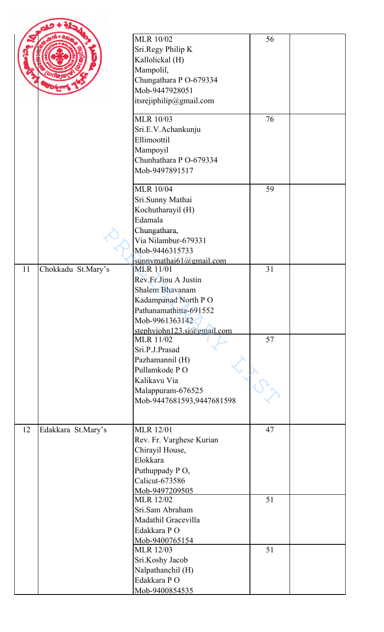|    |                    | <b>MLR 10/02</b><br>Sri.Regy Philip K<br>Kallolickal (H)<br>Mampolil,<br>Chungathara P O-679334<br>Mob-9447928051<br>itsrejiphilip@gmail.com                      | 56 |  |
|----|--------------------|-------------------------------------------------------------------------------------------------------------------------------------------------------------------|----|--|
|    |                    | <b>MLR 10/03</b><br>Sri.E.V.Achankunju<br>Ellimoottil<br>Mampoyil<br>Chunhathara P O-679334<br>Mob-9497891517                                                     | 76 |  |
|    |                    | <b>MLR 10/04</b><br>Sri.Sunny Mathai<br>Kochutharayil (H)<br>Edamala<br>Chungathara,<br>Via Nilambur-679331<br>Mob-9446315733<br>sunnymathai61@gmail.com          | 59 |  |
| 11 | Chokkadu St.Mary's | <b>MLR 11/01</b><br>Rev.Fr.Jinu A Justin<br>Shalem Bhavanam<br>Kadampanad North PO<br>Pathanamathitta-691552<br>Mob-9961363142<br>stephyjohn123.sj $@g$ gmail.com | 31 |  |
|    |                    | <b>MLR 11/02</b><br>Sri.P.J.Prasad<br>Pazhamannil (H)<br>Pullamkode PO<br>Kalikavu Via<br>Malappuram-676525<br>Mob-9447681593,9447681598                          | 57 |  |
| 12 | Edakkara St.Mary's | <b>MLR</b> 12/01<br>Rev. Fr. Varghese Kurian<br>Chirayil House,<br>Elokkara<br>Puthuppady PO,<br>Calicut-673586<br>Mob-9497209505                                 | 47 |  |
|    |                    | <b>MLR 12/02</b><br>Sri.Sam Abraham<br>Madathil Gracevilla<br>Edakkara PO<br>Mob-9400765154                                                                       | 51 |  |
|    |                    | <b>MLR 12/03</b><br>Sri.Koshy Jacob<br>Nalpathanchil (H)<br>Edakkara PO<br>Mob-9400854535                                                                         | 51 |  |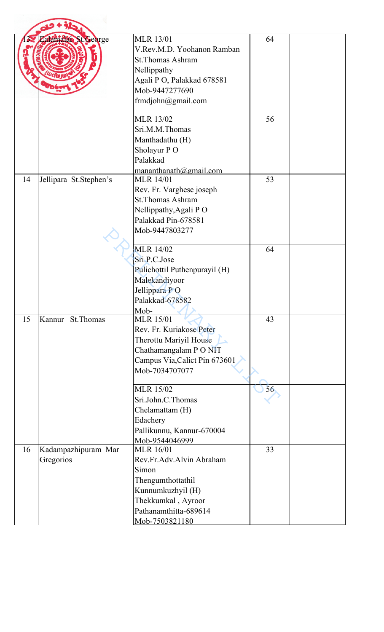|    | Lalama St. George                | <b>MLR 13/01</b><br>V.Rev.M.D. Yoohanon Ramban<br><b>St.Thomas Ashram</b><br>Nellippathy<br>Agali P O, Palakkad 678581<br>Mob-9447277690<br>frmdjohn@gmail.com   | 64 |  |
|----|----------------------------------|------------------------------------------------------------------------------------------------------------------------------------------------------------------|----|--|
|    |                                  | <b>MLR 13/02</b><br>Sri.M.M.Thomas<br>Manthadathu (H)<br>Sholayur PO<br>Palakkad<br>mananthanath@gmail.com                                                       | 56 |  |
| 14 | Jellipara St.Stephen's           | <b>MLR 14/01</b><br>Rev. Fr. Varghese joseph<br><b>St.Thomas Ashram</b><br>Nellippathy, Agali PO<br>Palakkad Pin-678581<br>Mob-9447803277                        | 53 |  |
|    |                                  | <b>MLR 14/02</b><br>Sri.P.C.Jose<br>Pulichottil Puthenpurayil (H)<br>Malekandiyoor<br>Jellippara PO<br>Palakkad-678582<br>Mob-                                   | 64 |  |
| 15 | Kannur St. Thomas                | <b>MLR 15/01</b><br>Rev. Fr. Kuriakose Peter<br>Therottu Mariyil House<br>Chathamangalam P O NIT<br>Campus Via, Calict Pin 673601<br>Mob-7034707077              | 43 |  |
|    |                                  | <b>MLR 15/02</b><br>Sri.John.C.Thomas<br>Chelamattam (H)<br>Edachery<br>Pallikunnu, Kannur-670004<br>Mob-9544046999                                              | 56 |  |
| 16 | Kadampazhipuram Mar<br>Gregorios | <b>MLR</b> 16/01<br>Rev.Fr.Adv.Alvin Abraham<br>Simon<br>Thengumthottathil<br>Kunnumkuzhyil (H)<br>Thekkumkal, Ayroor<br>Pathanamthitta-689614<br>Mob-7503821180 | 33 |  |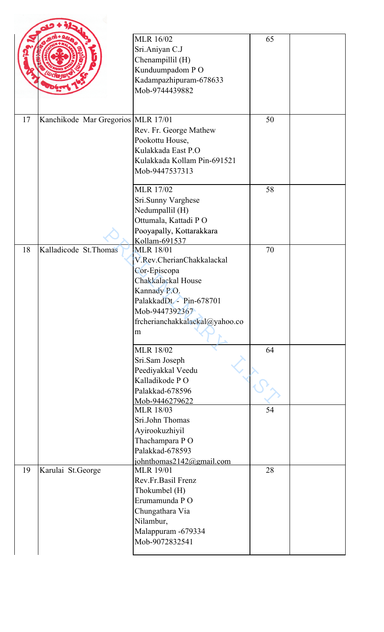|    |                                    | <b>MLR 16/02</b><br>Sri.Aniyan C.J<br>Chenampillil (H)<br>Kunduumpadom PO<br>Kadampazhipuram-678633<br>Mob-9744439882                                                                    | 65 |  |
|----|------------------------------------|------------------------------------------------------------------------------------------------------------------------------------------------------------------------------------------|----|--|
| 17 | Kanchikode Mar Gregorios MLR 17/01 | Rev. Fr. George Mathew<br>Pookottu House,<br>Kulakkada East P.O<br>Kulakkada Kollam Pin-691521<br>Mob-9447537313                                                                         | 50 |  |
|    |                                    | <b>MLR 17/02</b><br>Sri.Sunny Varghese<br>Nedumpallil (H)<br>Ottumala, Kattadi PO<br>Pooyapally, Kottarakkara<br>Kollam-691537                                                           | 58 |  |
| 18 | Kalladicode St. Thomas             | <b>MLR 18/01</b><br>V.Rev.CherianChakkalackal<br>Cor-Episcopa<br>Chakkalackal House<br>Kannady P.O.<br>PalakkadDt. - Pin-678701<br>Mob-9447392367<br>frcherianchakkalackal@yahoo.co<br>m | 70 |  |
|    |                                    | <b>MLR 18/02</b><br>Sri.Sam Joseph<br>Peediyakkal Veedu<br>Kalladikode PO<br>Palakkad-678596<br>Mob-9446279622                                                                           | 64 |  |
|    |                                    | <b>MLR 18/03</b><br>Sri.John Thomas<br>Ayirookuzhiyil<br>Thachampara PO<br>Palakkad-678593<br>johnthomas2142@gmail.com                                                                   | 54 |  |
| 19 | Karulai St.George                  | <b>MLR 19/01</b><br>Rev.Fr.Basil Frenz<br>Thokumbel (H)<br>Erumamunda PO<br>Chungathara Via<br>Nilambur,<br>Malappuram - 679334<br>Mob-9072832541                                        | 28 |  |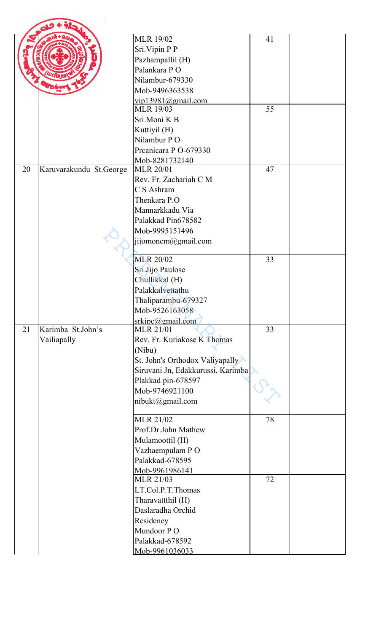|    |                         | <b>MLR 19/02</b>                  | 41 |  |
|----|-------------------------|-----------------------------------|----|--|
|    |                         | Sri.Vipin P P                     |    |  |
|    |                         | Pazhampallil (H)                  |    |  |
|    |                         | Palankara PO                      |    |  |
|    |                         | Nilambur-679330                   |    |  |
|    |                         | Mob-9496363538                    |    |  |
|    |                         | vip13981@gmail.com                |    |  |
|    |                         | <b>MLR 19/03</b>                  | 55 |  |
|    |                         | Sri.Moni K B                      |    |  |
|    |                         | Kuttiyil (H)                      |    |  |
|    |                         | Nilambur PO                       |    |  |
|    |                         | Preanicara P O-679330             |    |  |
|    |                         | Mob-8281732140                    |    |  |
| 20 | Karuvarakundu St.George | <b>MLR 20/01</b>                  | 47 |  |
|    |                         | Rev. Fr. Zachariah C M            |    |  |
|    |                         | C S Ashram                        |    |  |
|    |                         | Thenkara P.O                      |    |  |
|    |                         | Mannarkkadu Via                   |    |  |
|    |                         | Palakkad Pin678582                |    |  |
|    |                         | Mob-9995151496                    |    |  |
|    |                         | jijomoncm@gmail.com               |    |  |
|    |                         |                                   |    |  |
|    |                         | <b>MLR 20/02</b>                  | 33 |  |
|    |                         | Sri.Jijo Paulose                  |    |  |
|    |                         | Chullikkal (H)                    |    |  |
|    |                         | Palakkalvettathu                  |    |  |
|    |                         | Thaliparambu-679327               |    |  |
|    |                         | Mob-9526163058                    |    |  |
|    |                         | srkipc@gmail.com                  |    |  |
| 21 | Karimba St.John's       | <b>MLR 21/01</b>                  | 33 |  |
|    | Vailiapally             | Rev. Fr. Kuriakose K Thomas       |    |  |
|    |                         | (Nibu)                            |    |  |
|    |                         | St. John's Orthodox Valiyapally   |    |  |
|    |                         | Siruvani Jn, Edakkurussi, Karimba |    |  |
|    |                         | Plakkad pin-678597                |    |  |
|    |                         | Mob-9746921100                    |    |  |
|    |                         | nibukt@gmail.com                  |    |  |
|    |                         | <b>MLR 21/02</b>                  | 78 |  |
|    |                         | Prof.Dr.John Mathew               |    |  |
|    |                         | Mulamoottil (H)                   |    |  |
|    |                         | Vazhaempulam PO                   |    |  |
|    |                         | Palakkad-678595                   |    |  |
|    |                         | Mob-9961986141                    |    |  |
|    |                         | <b>MLR 21/03</b>                  | 72 |  |
|    |                         | LT.Col.P.T.Thomas                 |    |  |
|    |                         | Tharavattthil (H)                 |    |  |
|    |                         | Daslaradha Orchid                 |    |  |
|    |                         | Residency                         |    |  |
|    |                         | Mundoor PO                        |    |  |
|    |                         | Palakkad-678592                   |    |  |
|    |                         | Mob-9961036033                    |    |  |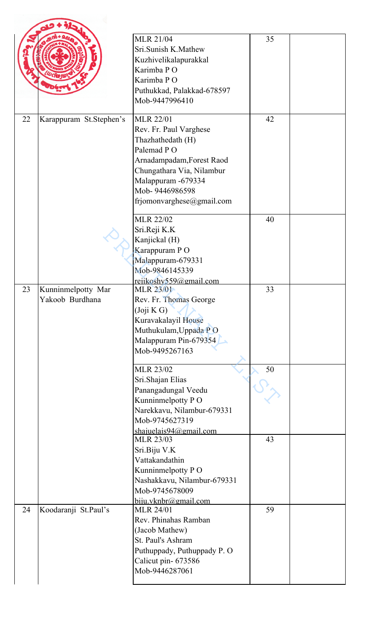|    |                                       | <b>MLR 21/04</b><br>Sri.Sunish K.Mathew<br>Kuzhivelikalapurakkal<br>Karimba PO<br>Karimba PO<br>Puthukkad, Palakkad-678597<br>Mob-9447996410                                                                 | 35 |  |
|----|---------------------------------------|--------------------------------------------------------------------------------------------------------------------------------------------------------------------------------------------------------------|----|--|
| 22 | Karappuram St.Stephen's               | <b>MLR 22/01</b><br>Rev. Fr. Paul Varghese<br>Thazhathedath (H)<br>Palemad PO<br>Arnadampadam, Forest Raod<br>Chungathara Via, Nilambur<br>Malappuram -679334<br>Mob-9446986598<br>frjomonvarghese@gmail.com | 42 |  |
|    |                                       | <b>MLR 22/02</b><br>Sri.Reji K.K<br>Kanjickal (H)<br>Karappuram PO<br>Malappuram-679331<br>Mob-9846145339<br>rejikoshy559@gmail.com                                                                          | 40 |  |
| 23 | Kunninmelpotty Mar<br>Yakoob Burdhana | <b>MLR 23/01</b><br>Rev. Fr. Thomas George<br>(Joji K G)<br>Kuravakalayil House<br>Muthukulam, Uppada PO<br>Malappuram Pin-679354<br>Mob-9495267163                                                          | 33 |  |
|    |                                       | <b>MLR 23/02</b><br>Sri.Shajan Elias<br>Panangadungal Veedu<br>Kunninmelpotty PO<br>Narekkavu, Nilambur-679331<br>Mob-9745627319<br>shajuelais $94$ @gmail.com                                               | 50 |  |
|    |                                       | <b>MLR 23/03</b><br>Sri.Biju V.K<br>Vattakandathin<br>Kunninmelpotty PO<br>Nashakkavu, Nilambur-679331<br>Mob-9745678009<br>$b$ iju.vknbr@gmail.com                                                          | 43 |  |
| 24 | Koodaranji St.Paul's                  | <b>MLR 24/01</b><br>Rev. Phinahas Ramban<br>(Jacob Mathew)<br>St. Paul's Ashram<br>Puthuppady, Puthuppady P. O<br>Calicut pin- 673586<br>Mob-9446287061                                                      | 59 |  |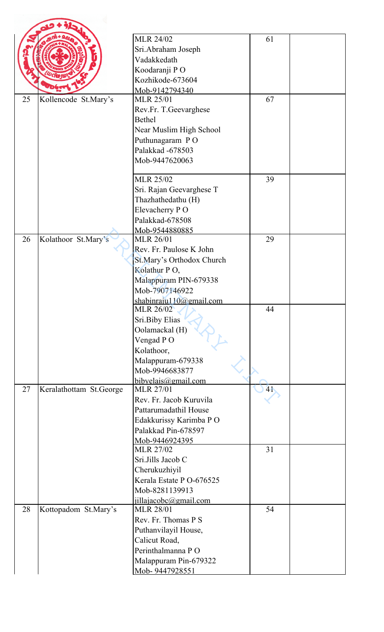|    |                         | <b>MLR 24/02</b>                             | 61 |  |
|----|-------------------------|----------------------------------------------|----|--|
|    |                         |                                              |    |  |
|    |                         | Sri.Abraham Joseph<br>Vadakkedath            |    |  |
|    |                         |                                              |    |  |
|    |                         | Koodaranji PO                                |    |  |
|    |                         | Kozhikode-673604                             |    |  |
| 25 | Kollencode St.Mary's    | Mob-9142794340<br><b>MLR 25/01</b>           | 67 |  |
|    |                         |                                              |    |  |
|    |                         | Rev.Fr. T.Geevarghese<br><b>Bethel</b>       |    |  |
|    |                         |                                              |    |  |
|    |                         | Near Muslim High School                      |    |  |
|    |                         | Puthunagaram PO                              |    |  |
|    |                         | Palakkad -678503                             |    |  |
|    |                         | Mob-9447620063                               |    |  |
|    |                         | <b>MLR 25/02</b>                             | 39 |  |
|    |                         | Sri. Rajan Geevarghese T                     |    |  |
|    |                         | Thazhathedathu (H)                           |    |  |
|    |                         | Elevacherry PO                               |    |  |
|    |                         | Palakkad-678508                              |    |  |
|    |                         | Mob-9544880885                               |    |  |
| 26 | Kolathoor St.Mary's     | <b>MLR 26/01</b>                             | 29 |  |
|    |                         | Rev. Fr. Paulose K John                      |    |  |
|    |                         | St.Mary's Orthodox Church                    |    |  |
|    |                         | Kolathur PO,                                 |    |  |
|    |                         | Malappuram PIN-679338                        |    |  |
|    |                         | Mob-7907146922                               |    |  |
|    |                         | shabinraju110@gmail.com                      |    |  |
|    |                         | <b>MLR 26/02</b>                             | 44 |  |
|    |                         | Sri.Biby Elias                               |    |  |
|    |                         | Oolamackal (H)                               |    |  |
|    |                         | Vengad PO                                    |    |  |
|    |                         | Kolathoor,                                   |    |  |
|    |                         | Malappuram-679338                            |    |  |
|    |                         | Mob-9946683877                               |    |  |
|    |                         | bibyelais@gmail.com                          |    |  |
| 27 | Keralathottam St.George | <b>MLR 27/01</b>                             | 41 |  |
|    |                         | Rev. Fr. Jacob Kuruvila                      |    |  |
|    |                         | Pattarumadathil House                        |    |  |
|    |                         | Edakkurissy Karimba P O                      |    |  |
|    |                         | Palakkad Pin-678597                          |    |  |
|    |                         | Mob-9446924395<br><b>MLR 27/02</b>           | 31 |  |
|    |                         | Sri.Jills Jacob C                            |    |  |
|    |                         |                                              |    |  |
|    |                         | Cherukuzhiyil<br>Kerala Estate P O-676525    |    |  |
|    |                         |                                              |    |  |
|    |                         | Mob-8281139913                               |    |  |
| 28 |                         | $i$ illajacobc@gmail.com<br><b>MLR 28/01</b> | 54 |  |
|    | Kottopadom St.Mary's    | Rev. Fr. Thomas P S                          |    |  |
|    |                         |                                              |    |  |
|    |                         | Puthanvilayil House,                         |    |  |
|    |                         | Calicut Road,                                |    |  |
|    |                         | Perinthalmanna PO                            |    |  |
|    |                         | Malappuram Pin-679322                        |    |  |
|    |                         | Mob-9447928551                               |    |  |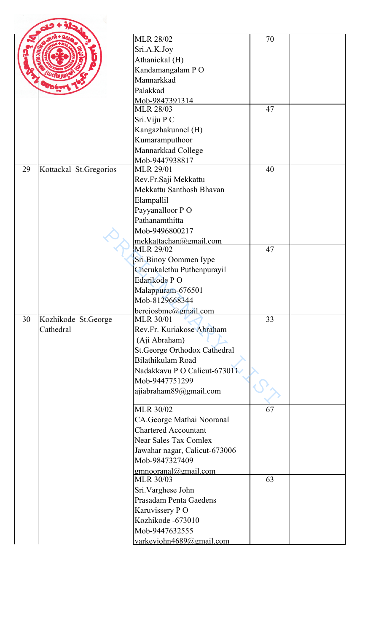|    |                        | <b>MLR 28/02</b>                            | 70 |  |
|----|------------------------|---------------------------------------------|----|--|
|    |                        |                                             |    |  |
|    |                        | Sri.A.K.Joy                                 |    |  |
|    |                        | Athanickal (H)                              |    |  |
|    |                        | Kandamangalam PO                            |    |  |
|    |                        | Mannarkkad                                  |    |  |
|    |                        | Palakkad                                    |    |  |
|    |                        | Mob-9847391314                              |    |  |
|    |                        | <b>MLR 28/03</b>                            | 47 |  |
|    |                        | Sri. Viju P C                               |    |  |
|    |                        | Kangazhakunnel (H)                          |    |  |
|    |                        | Kumaramputhoor                              |    |  |
|    |                        | Mannarkkad College                          |    |  |
|    |                        | Mob-9447938817                              |    |  |
| 29 | Kottackal St.Gregorios | <b>MLR 29/01</b>                            | 40 |  |
|    |                        | Rev.Fr.Saji Mekkattu                        |    |  |
|    |                        | Mekkattu Santhosh Bhavan                    |    |  |
|    |                        | Elampallil                                  |    |  |
|    |                        | Payyanalloor PO                             |    |  |
|    |                        | Pathanamthitta                              |    |  |
|    |                        | Mob-9496800217                              |    |  |
|    |                        | mekkattachan@gmail.com<br><b>MLR 29/02</b>  | 47 |  |
|    |                        | Sri.Binoy Oommen Iype                       |    |  |
|    |                        | Cherukalethu Puthenpurayil                  |    |  |
|    |                        | Edarikode PO                                |    |  |
|    |                        | Malappuram-676501                           |    |  |
|    |                        | Mob-8129668344                              |    |  |
|    |                        | berejosbme@gmail.com                        |    |  |
| 30 | Kozhikode St.George    | <b>MLR 30/01</b>                            | 33 |  |
|    | Cathedral              | Rev.Fr. Kuriakose Abraham                   |    |  |
|    |                        | (Aji Abraham)                               |    |  |
|    |                        | <b>St.George Orthodox Cathedral</b>         |    |  |
|    |                        | Bilathikulam Road                           |    |  |
|    |                        | Nadakkavu P O Calicut-673011                |    |  |
|    |                        | Mob-9447751299                              |    |  |
|    |                        | ajiabraham89@gmail.com                      |    |  |
|    |                        |                                             |    |  |
|    |                        | <b>MLR 30/02</b>                            | 67 |  |
|    |                        | CA.George Mathai Nooranal                   |    |  |
|    |                        | <b>Chartered Accountant</b>                 |    |  |
|    |                        | <b>Near Sales Tax Comlex</b>                |    |  |
|    |                        | Jawahar nagar, Calicut-673006               |    |  |
|    |                        | Mob-9847327409                              |    |  |
|    |                        | $g$ mnooranal@gmail.com<br><b>MLR 30/03</b> | 63 |  |
|    |                        | Sri.Varghese John                           |    |  |
|    |                        | Prasadam Penta Gaedens                      |    |  |
|    |                        | Karuvissery PO                              |    |  |
|    |                        | Kozhikode -673010                           |    |  |
|    |                        | Mob-9447632555                              |    |  |
|    |                        |                                             |    |  |
|    |                        | varkeyjohn4689@gmail.com                    |    |  |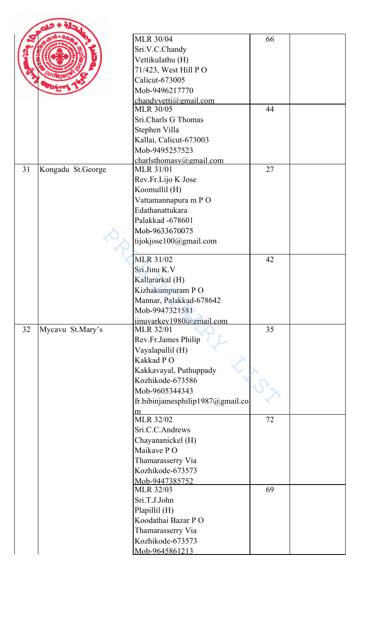|    |                   | <b>MLR 30/04</b>                            | 66 |  |
|----|-------------------|---------------------------------------------|----|--|
|    |                   | Sri.V.C.Chandy                              |    |  |
|    |                   | Vettikulathu (H)                            |    |  |
|    |                   | 71/423, West Hill PO                        |    |  |
|    |                   | Calicut-673005                              |    |  |
|    |                   | Mob-9496217770                              |    |  |
|    |                   | chandyvetti@gmail.com                       | 44 |  |
|    |                   | <b>MLR 30/05</b>                            |    |  |
|    |                   | Sri.Charls G Thomas                         |    |  |
|    |                   | Stephen Villa                               |    |  |
|    |                   | Kallai, Calicut-673003                      |    |  |
|    |                   | Mob-9495257523                              |    |  |
| 31 | Kongadu St.George | charlsthomasy@gmail.com<br><b>MLR 31/01</b> | 27 |  |
|    |                   | Rev.Fr.Lijo K Jose                          |    |  |
|    |                   | Koomullil (H)                               |    |  |
|    |                   | Vattamannapura m PO                         |    |  |
|    |                   | Edathanattukara                             |    |  |
|    |                   | Palakkad -678601                            |    |  |
|    |                   | Mob-9633670075                              |    |  |
|    |                   |                                             |    |  |
|    |                   | tijokjose100@gmail.com                      |    |  |
|    |                   | MLR 31/02                                   | 42 |  |
|    |                   | Sri.Jinu K.V                                |    |  |
|    |                   | Kallararkal (H)                             |    |  |
|    |                   | Kizhakumpuram PO                            |    |  |
|    |                   | Mannar, Palakkad-678642                     |    |  |
|    |                   | Mob-9947321581                              |    |  |
|    |                   | $j$ inuvarkey1980@gmail.com                 |    |  |
| 32 | Mycavu St.Mary's  | <b>MLR 32/01</b>                            | 35 |  |
|    |                   | Rev.Fr.James Philip                         |    |  |
|    |                   | Vayalapallil (H)                            |    |  |
|    |                   | Kakkad PO                                   |    |  |
|    |                   | Kakkavayal, Puthuppady                      |    |  |
|    |                   | Kozhikode-673586                            |    |  |
|    |                   | Mob-9605344343                              |    |  |
|    |                   | fr.bibinjamesphilip1987@gmail.co            |    |  |
|    |                   | m                                           |    |  |
|    |                   | <b>MLR 32/02</b>                            | 72 |  |
|    |                   | Sri.C.C.Andrews                             |    |  |
|    |                   | Chayananickel (H)                           |    |  |
|    |                   | Maikave PO                                  |    |  |
|    |                   | Thamarasserry Via                           |    |  |
|    |                   | Kozhikode-673573                            |    |  |
|    |                   | Mob-9447385752<br><b>MLR 32/03</b>          | 69 |  |
|    |                   | Sri.T.J.John                                |    |  |
|    |                   |                                             |    |  |
|    |                   | Plapillil (H)<br>Koodathai Bazar PO         |    |  |
|    |                   | Thamarasserry Via                           |    |  |
|    |                   | Kozhikode-673573                            |    |  |
|    |                   | Mob-9645861213                              |    |  |
|    |                   |                                             |    |  |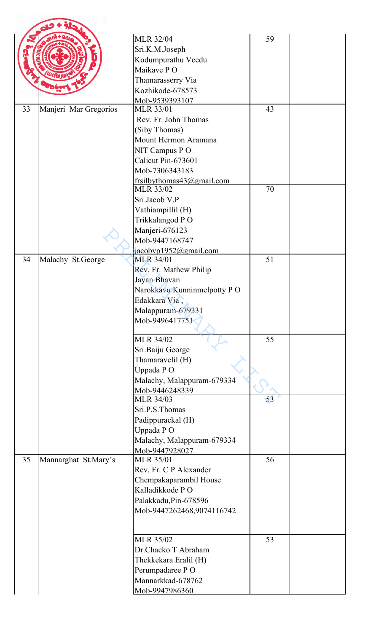|    |                       | <b>MLR 32/04</b>                          | 59 |  |
|----|-----------------------|-------------------------------------------|----|--|
|    |                       | Sri.K.M.Joseph                            |    |  |
|    |                       | Kodumpurathu Veedu                        |    |  |
|    |                       | Maikave PO                                |    |  |
|    |                       | Thamarasserry Via<br>Kozhikode-678573     |    |  |
|    |                       | Mob-9539393107                            |    |  |
| 33 | Manjeri Mar Gregorios | <b>MLR 33/01</b>                          | 43 |  |
|    |                       | Rev. Fr. John Thomas                      |    |  |
|    |                       | (Siby Thomas)                             |    |  |
|    |                       | Mount Hermon Aramana                      |    |  |
|    |                       | NIT Campus PO                             |    |  |
|    |                       | Calicut Pin-673601                        |    |  |
|    |                       | Mob-7306343183                            |    |  |
|    |                       | frsilbythomas43@gmail.com                 |    |  |
|    |                       | <b>MLR 33/02</b>                          | 70 |  |
|    |                       | Sri.Jacob V.P                             |    |  |
|    |                       | Vathiampillil (H)                         |    |  |
|    |                       | Trikkalangod PO                           |    |  |
|    |                       | Manjeri-676123                            |    |  |
|    |                       | Mob-9447168747                            |    |  |
| 34 | Malachy St.George     | jacobvp1952@gmail.com<br><b>MLR 34/01</b> | 51 |  |
|    |                       | Rev. Fr. Mathew Philip                    |    |  |
|    |                       | Jayan Bhavan                              |    |  |
|    |                       | Narokkavu Kunninmelpotty PO               |    |  |
|    |                       | Edakkara Via,                             |    |  |
|    |                       | Malappuram-679331                         |    |  |
|    |                       | Mob-9496417751                            |    |  |
|    |                       |                                           |    |  |
|    |                       | <b>MLR 34/02</b>                          | 55 |  |
|    |                       | Sri.Baiju George                          |    |  |
|    |                       | Thamaravelil (H)                          |    |  |
|    |                       | Uppada PO                                 |    |  |
|    |                       | Malachy, Malappuram-679334                |    |  |
|    |                       | Mob-9446248339                            |    |  |
|    |                       | <b>MLR 34/03</b><br>Sri.P.S.Thomas        | 53 |  |
|    |                       | Padippurackal (H)                         |    |  |
|    |                       | Uppada PO                                 |    |  |
|    |                       | Malachy, Malappuram-679334                |    |  |
|    |                       | Mob-9447928027                            |    |  |
| 35 | Mannarghat St.Mary's  | <b>MLR 35/01</b>                          | 56 |  |
|    |                       | Rev. Fr. C P Alexander                    |    |  |
|    |                       | Chempakaparambil House                    |    |  |
|    |                       | Kalladikkode PO                           |    |  |
|    |                       | Palakkadu, Pin-678596                     |    |  |
|    |                       | Mob-9447262468,9074116742                 |    |  |
|    |                       |                                           |    |  |
|    |                       | <b>MLR 35/02</b>                          | 53 |  |
|    |                       | Dr.Chacko T Abraham                       |    |  |
|    |                       | Thekkekara Eralil (H)                     |    |  |
|    |                       | Perumpadaree PO                           |    |  |
|    |                       | Mannarkkad-678762                         |    |  |
|    |                       | Mob-9947986360                            |    |  |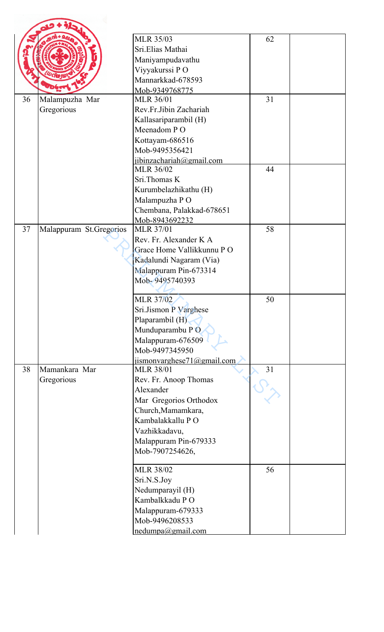|    |                         | <b>MLR 35/03</b>                   | 62 |  |
|----|-------------------------|------------------------------------|----|--|
|    |                         | Sri.Elias Mathai                   |    |  |
|    |                         |                                    |    |  |
|    |                         | Maniyampudavathu                   |    |  |
|    |                         | Viyyakurssi PO                     |    |  |
|    |                         | Mannarkkad-678593                  |    |  |
| 36 |                         | Mob-9349768775<br><b>MLR 36/01</b> | 31 |  |
|    | Malampuzha Mar          | Rev.Fr.Jibin Zachariah             |    |  |
|    | Gregorious              |                                    |    |  |
|    |                         | Kallasariparambil (H)              |    |  |
|    |                         | Meenadom PO                        |    |  |
|    |                         | Kottayam-686516                    |    |  |
|    |                         | Mob-9495356421                     |    |  |
|    |                         | jibinzachariah@gmail.com           | 44 |  |
|    |                         | <b>MLR 36/02</b>                   |    |  |
|    |                         | Sri.Thomas K                       |    |  |
|    |                         | Kurumbelazhikathu (H)              |    |  |
|    |                         | Malampuzha PO                      |    |  |
|    |                         | Chembana, Palakkad-678651          |    |  |
|    |                         | Mob-8943692232                     | 58 |  |
| 37 | Malappuram St.Gregorios | <b>MLR 37/01</b>                   |    |  |
|    |                         | Rev. Fr. Alexander K A             |    |  |
|    |                         | Grace Home Vallikkunnu PO          |    |  |
|    |                         | Kadalundi Nagaram (Via)            |    |  |
|    |                         | Malappuram Pin-673314              |    |  |
|    |                         | Mob-9495740393                     |    |  |
|    |                         |                                    |    |  |
|    |                         | <b>MLR 37/02</b>                   | 50 |  |
|    |                         | Sri.Jismon P Varghese              |    |  |
|    |                         | Plaparambil (H)                    |    |  |
|    |                         | Munduparambu PO                    |    |  |
|    |                         | Malappuram-676509                  |    |  |
|    |                         | Mob-9497345950                     |    |  |
|    |                         | ijismonvarghese71@gmail.com        |    |  |
| 38 | Mamankara Mar           | <b>MLR 38/01</b>                   | 31 |  |
|    | Gregorious              | Rev. Fr. Anoop Thomas              |    |  |
|    |                         | Alexander                          |    |  |
|    |                         | Mar Gregorios Orthodox             |    |  |
|    |                         | Church, Mamamkara,                 |    |  |
|    |                         | Kambalakkallu PO                   |    |  |
|    |                         | Vazhikkadavu,                      |    |  |
|    |                         | Malappuram Pin-679333              |    |  |
|    |                         | Mob-7907254626,                    |    |  |
|    |                         | <b>MLR 38/02</b>                   | 56 |  |
|    |                         | Sri.N.S.Joy                        |    |  |
|    |                         | Nedumparayil (H)                   |    |  |
|    |                         | Kambalkkadu PO                     |    |  |
|    |                         | Malappuram-679333                  |    |  |
|    |                         | Mob-9496208533                     |    |  |
|    |                         | nedumpa@gmail.com                  |    |  |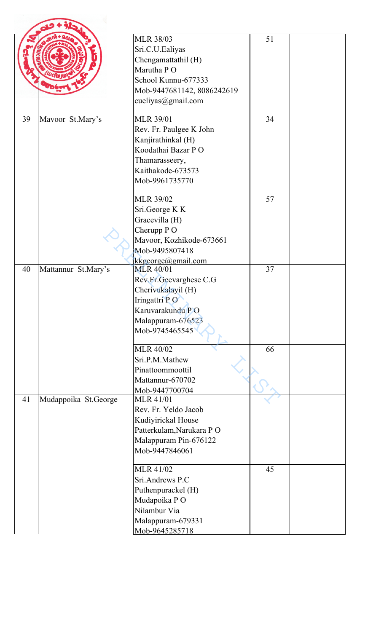|    |                      | <b>MLR 38/03</b><br>Sri.C.U.Ealiyas<br>Chengamattathil (H)<br>Marutha PO<br>School Kunnu-677333<br>Mob-9447681142, 8086242619<br>cueliyas@gmail.com | 51 |  |
|----|----------------------|-----------------------------------------------------------------------------------------------------------------------------------------------------|----|--|
| 39 | Mavoor St.Mary's     | <b>MLR 39/01</b><br>Rev. Fr. Paulgee K John<br>Kanjirathinkal (H)<br>Koodathai Bazar PO<br>Thamarasseery,<br>Kaithakode-673573<br>Mob-9961735770    | 34 |  |
|    |                      | <b>MLR 39/02</b><br>Sri.George K K<br>Gracevilla (H)<br>Cherupp P O<br>Mavoor, Kozhikode-673661<br>Mob-9495807418<br>kkgeorge@gmail.com             | 57 |  |
| 40 | Mattannur St.Mary's  | <b>MLR 40/01</b><br>Rev.Fr.Geevarghese C.G<br>Cherivukalayil (H)<br>Iringattri PO<br>Karuvarakundu PO<br>Malappuram-676523<br>Mob-9745465545        | 37 |  |
|    |                      | <b>MLR 40/02</b><br>Sri.P.M.Mathew<br>Pinattoommoottil<br>Mattannur-670702<br>Mob-9447700704                                                        | 66 |  |
| 41 | Mudappoika St.George | <b>MLR 41/01</b><br>Rev. Fr. Yeldo Jacob<br>Kudiyirickal House<br>Patterkulam, Narukara PO<br>Malappuram Pin-676122<br>Mob-9447846061               |    |  |
|    |                      | <b>MLR 41/02</b><br>Sri.Andrews P.C<br>Puthenpurackel (H)<br>Mudapoika PO<br>Nilambur Via<br>Malappuram-679331<br>Mob-9645285718                    | 45 |  |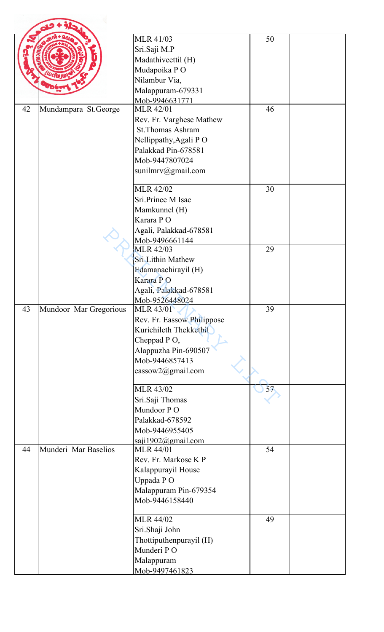|    |                        | <b>MLR 41/03</b><br>Sri.Saji M.P<br>Madathiveettil (H)<br>Mudapoika PO<br>Nilambur Via,<br>Malappuram-679331                                              | 50 |  |
|----|------------------------|-----------------------------------------------------------------------------------------------------------------------------------------------------------|----|--|
|    |                        | Mob-9946631771                                                                                                                                            |    |  |
| 42 | Mundampara St.George   | <b>MLR 42/01</b><br>Rev. Fr. Varghese Mathew<br>St. Thomas Ashram<br>Nellippathy, Agali PO<br>Palakkad Pin-678581<br>Mob-9447807024<br>sunilmrv@gmail.com | 46 |  |
|    |                        | <b>MLR 42/02</b><br>Sri.Prince M Isac<br>Mamkunnel (H)<br>Karara PO<br>Agali, Palakkad-678581<br>Mob-9496661144                                           | 30 |  |
|    |                        | <b>MLR 42/03</b><br>Sri.Lithin Mathew<br>Edamanachirayil (H)<br>Karara PO<br>Agali, Palakkad-678581<br>Mob-9526448024                                     | 29 |  |
| 43 | Mundoor Mar Gregorious | <b>MLR 43/01</b><br>Rev. Fr. Eassow Philippose<br>Kurichileth Thekkethil<br>Cheppad PO,<br>Alappuzha Pin-690507<br>Mob-9446857413<br>eassow2@gmail.com    | 39 |  |
|    |                        | <b>MLR 43/02</b><br>Sri.Saji Thomas<br>Mundoor PO<br>Palakkad-678592<br>Mob-9446955405<br>saji1902@gmail.com                                              | 57 |  |
| 44 | Munderi Mar Baselios   | <b>MLR 44/01</b><br>Rev. Fr. Markose K P<br>Kalappurayil House<br>Uppada PO<br>Malappuram Pin-679354<br>Mob-9446158440                                    | 54 |  |
|    |                        | <b>MLR 44/02</b><br>Sri.Shaji John<br>Thottiputhenpurayil (H)<br>Munderi PO<br>Malappuram<br>Mob-9497461823                                               | 49 |  |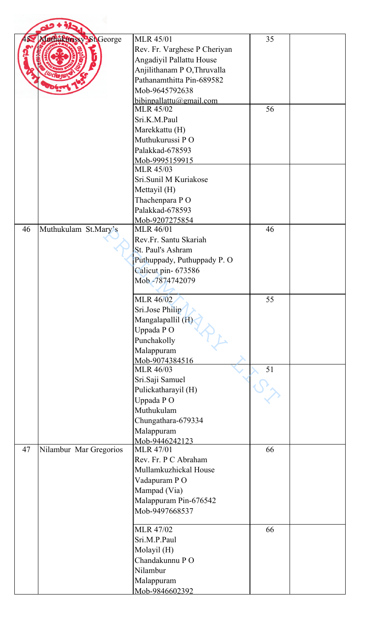|    | Jathukunssy ShGeorge   | <b>MLR 45/01</b>                       | 35 |  |
|----|------------------------|----------------------------------------|----|--|
|    |                        | Rev. Fr. Varghese P Cheriyan           |    |  |
|    |                        | Angadiyil Pallattu House               |    |  |
|    |                        | Anjilithanam P O, Thruvalla            |    |  |
|    |                        | Pathanamthitta Pin-689582              |    |  |
|    |                        | Mob-9645792638                         |    |  |
|    |                        | bibinpallattu@gmail.com                |    |  |
|    |                        | <b>MLR 45/02</b>                       | 56 |  |
|    |                        | Sri.K.M.Paul                           |    |  |
|    |                        | Marekkattu (H)                         |    |  |
|    |                        | Muthukurussi PO                        |    |  |
|    |                        | Palakkad-678593                        |    |  |
|    |                        | Mob-9995159915                         |    |  |
|    |                        | <b>MLR 45/03</b>                       |    |  |
|    |                        | Sri.Sunil M Kuriakose                  |    |  |
|    |                        | Mettayil (H)                           |    |  |
|    |                        | Thachenpara PO                         |    |  |
|    |                        | Palakkad-678593                        |    |  |
| 46 | Muthukulam St.Mary's   | Mob-9207275854<br><b>MLR 46/01</b>     | 46 |  |
|    |                        | Rev.Fr. Santu Skariah                  |    |  |
|    |                        | St. Paul's Ashram                      |    |  |
|    |                        | Puthuppady, Puthuppady P. O            |    |  |
|    |                        | Calicut pin- 673586                    |    |  |
|    |                        | Mob -7874742079                        |    |  |
|    |                        |                                        |    |  |
|    |                        | MLR 46/02                              | 55 |  |
|    |                        | Sri.Jose Philip                        |    |  |
|    |                        | Mangalapallil (H)                      |    |  |
|    |                        | Uppada PO                              |    |  |
|    |                        | Punchakolly                            |    |  |
|    |                        | Malappuram                             |    |  |
|    |                        | Mob-9074384516                         | 51 |  |
|    |                        | <b>MLR 46/03</b>                       |    |  |
|    |                        | Sri.Saji Samuel<br>Pulickatharayil (H) |    |  |
|    |                        | Uppada PO                              |    |  |
|    |                        | Muthukulam                             |    |  |
|    |                        | Chungathara-679334                     |    |  |
|    |                        | Malappuram                             |    |  |
|    |                        | Mob-9446242123                         |    |  |
| 47 | Nilambur Mar Gregorios | <b>MLR 47/01</b>                       | 66 |  |
|    |                        | Rev. Fr. P C Abraham                   |    |  |
|    |                        | Mullamkuzhickal House                  |    |  |
|    |                        | Vadapuram PO                           |    |  |
|    |                        | Mampad (Via)                           |    |  |
|    |                        | Malappuram Pin-676542                  |    |  |
|    |                        | Mob-9497668537                         |    |  |
|    |                        | <b>MLR 47/02</b>                       | 66 |  |
|    |                        | Sri.M.P.Paul                           |    |  |
|    |                        | Molayil (H)                            |    |  |
|    |                        | Chandakunnu PO                         |    |  |
|    |                        | Nilambur                               |    |  |
|    |                        | Malappuram                             |    |  |
|    |                        | Mob-9846602392                         |    |  |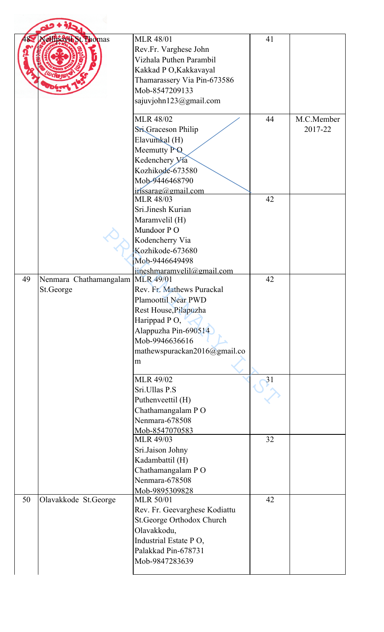|    | <b>Sellipovit St. Thomas</b>                  | <b>MLR 48/01</b><br>Rev.Fr. Varghese John<br>Vizhala Puthen Parambil<br>Kakkad P O, Kakkavayal<br>Thamarassery Via Pin-673586<br>Mob-8547209133<br>sajuvjohn123@gmail.com       | 41 |                       |
|----|-----------------------------------------------|---------------------------------------------------------------------------------------------------------------------------------------------------------------------------------|----|-----------------------|
|    |                                               | <b>MLR 48/02</b><br>Sri Graceson Philip<br>Elavumkal (H)<br>Meemutty PQ<br>Kedenchery Via<br>Kozhikode-673580<br>Mob-9446468790<br>irissarag@gmail.com                          | 44 | M.C.Member<br>2017-22 |
|    |                                               | <b>MLR 48/03</b><br>Sri.Jinesh Kurian<br>Maramvelil (H)<br>Mundoor PO<br>Kodencherry Via<br>Kozhikode-673680<br>Mob-9446649498<br>iineshmaramvelil@gmail.com                    | 42 |                       |
| 49 | Nenmara Chathamangalam MLR 49/01<br>St.George | Rev. Fr. Mathews Purackal<br><b>Plamoottil Near PWD</b><br>Rest House, Pilapuzha<br>Harippad PO,<br>Alappuzha Pin-690514<br>Mob-9946636616<br>mathewspurackan2016@gmail.co<br>m | 42 |                       |
|    |                                               | <b>MLR 49/02</b><br>Sri.Ullas P.S<br>Puthenveettil (H)<br>Chathamangalam PO<br>Nenmara-678508<br>Mob-8547070583                                                                 | 31 |                       |
|    |                                               | <b>MLR 49/03</b><br>Sri.Jaison Johny<br>Kadambattil (H)<br>Chathamangalam PO<br>Nenmara-678508<br>Mob-9895309828                                                                | 32 |                       |
| 50 | Olavakkode St.George                          | <b>MLR 50/01</b><br>Rev. Fr. Geevarghese Kodiattu<br>St.George Orthodox Church<br>Olavakkodu,<br>Industrial Estate PO,<br>Palakkad Pin-678731<br>Mob-9847283639                 | 42 |                       |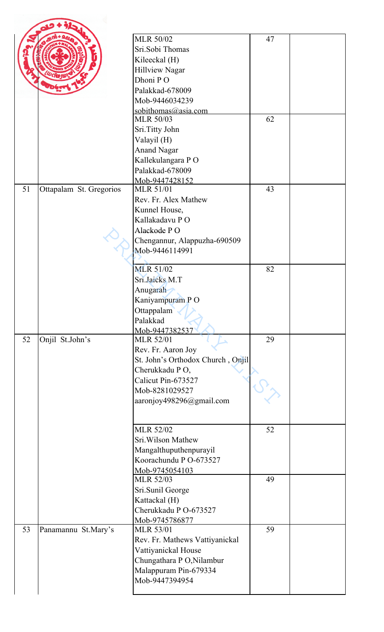|    |                         | <b>MLR 50/02</b>                     | 47 |  |
|----|-------------------------|--------------------------------------|----|--|
|    |                         | Sri.Sobi Thomas                      |    |  |
|    |                         | Kileeckal (H)                        |    |  |
|    |                         | <b>Hillview Nagar</b>                |    |  |
|    |                         | Dhoni PO                             |    |  |
|    |                         | Palakkad-678009                      |    |  |
|    |                         | Mob-9446034239                       |    |  |
|    |                         | sobithomas@asia.com                  |    |  |
|    |                         | <b>MLR 50/03</b>                     | 62 |  |
|    |                         | Sri.Titty John                       |    |  |
|    |                         | Valayil (H)                          |    |  |
|    |                         | <b>Anand Nagar</b>                   |    |  |
|    |                         | Kallekulangara PO                    |    |  |
|    |                         | Palakkad-678009                      |    |  |
|    |                         | Mob-9447428152                       |    |  |
| 51 | Ottapalam St. Gregorios | <b>MLR 51/01</b>                     | 43 |  |
|    |                         | Rev. Fr. Alex Mathew                 |    |  |
|    |                         | Kunnel House,                        |    |  |
|    |                         | Kallakadavu PO                       |    |  |
|    |                         | Alackode PO                          |    |  |
|    |                         | Chengannur, Alappuzha-690509         |    |  |
|    |                         | Mob-9446114991                       |    |  |
|    |                         | <b>MLR 51/02</b>                     | 82 |  |
|    |                         | Sri.Jaicks M.T                       |    |  |
|    |                         |                                      |    |  |
|    |                         | Anugarah                             |    |  |
|    |                         | Kaniyampuram PO                      |    |  |
|    |                         | Ottappalam                           |    |  |
|    |                         | Palakkad                             |    |  |
| 52 | Onjil St.John's         | Mob-9447382537<br><b>MLR 52/01</b>   | 29 |  |
|    |                         | Rev. Fr. Aaron Joy                   |    |  |
|    |                         | St. John's Orthodox Church, Onjil    |    |  |
|    |                         |                                      |    |  |
|    |                         | Cherukkadu PO,<br>Calicut Pin-673527 |    |  |
|    |                         |                                      |    |  |
|    |                         | Mob-8281029527                       |    |  |
|    |                         | aaronjoy498296@gmail.com             |    |  |
|    |                         |                                      |    |  |
|    |                         | <b>MLR 52/02</b>                     | 52 |  |
|    |                         | Sri. Wilson Mathew                   |    |  |
|    |                         | Mangalthuputhenpurayil               |    |  |
|    |                         | Koorachundu P O-673527               |    |  |
|    |                         | Mob-9745054103                       |    |  |
|    |                         | <b>MLR 52/03</b>                     | 49 |  |
|    |                         | Sri.Sunil George                     |    |  |
|    |                         | Kattackal (H)                        |    |  |
|    |                         | Cherukkadu P O-673527                |    |  |
|    |                         | Mob-9745786877                       |    |  |
| 53 | Panamannu St.Mary's     | <b>MLR 53/01</b>                     | 59 |  |
|    |                         | Rev. Fr. Mathews Vattiyanickal       |    |  |
|    |                         | Vattiyanickal House                  |    |  |
|    |                         | Chungathara P O, Nilambur            |    |  |
|    |                         | Malappuram Pin-679334                |    |  |
|    |                         | Mob-9447394954                       |    |  |
|    |                         |                                      |    |  |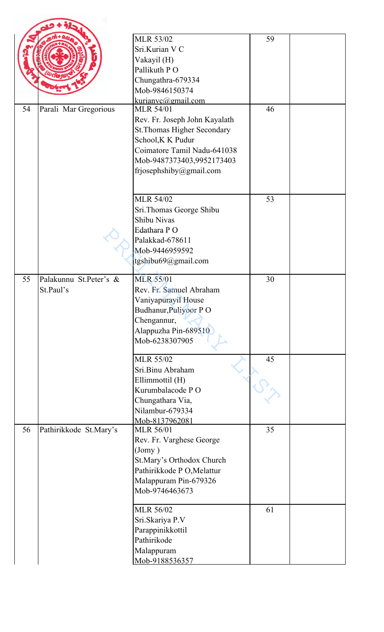|    |                                     | <b>MLR 53/02</b><br>Sri.Kurian V C<br>Vakayil (H)<br>Pallikuth PO<br>Chungathra-679334<br>Mob-9846150374<br>kurianvc@gmail.com                                                                      | 59 |  |
|----|-------------------------------------|-----------------------------------------------------------------------------------------------------------------------------------------------------------------------------------------------------|----|--|
| 54 | Parali Mar Gregorious               | <b>MLR 54/01</b><br>Rev. Fr. Joseph John Kayalath<br><b>St. Thomas Higher Secondary</b><br>School, K K Pudur<br>Coimatore Tamil Nadu-641038<br>Mob-9487373403,9952173403<br>frjosephshiby@gmail.com | 46 |  |
|    |                                     | <b>MLR 54/02</b><br>Sri.Thomas George Shibu<br>Shibu Nivas<br>Edathara PO<br>Palakkad-678611<br>Mob-9446959592<br>tgshibu69@gmail.com                                                               | 53 |  |
| 55 | Palakunnu St.Peter's &<br>St.Paul's | <b>MLR 55/01</b><br>Rev. Fr. Samuel Abraham<br>Vaniyapurayil House<br>Budhanur, Puliyoor PO<br>Chengannur,<br>Alappuzha Pin-689510<br>Mob-6238307905                                                | 30 |  |
|    |                                     | <b>MLR 55/02</b><br>Sri.Binu Abraham<br>Ellimmottil (H)<br>Kurumbalacode PO<br>Chungathara Via,<br>Nilambur-679334<br>Mob-8137962081                                                                | 45 |  |
| 56 | Pathirikkode St.Mary's              | <b>MLR 56/01</b><br>Rev. Fr. Varghese George<br>$($ Jomy $)$<br>St.Mary's Orthodox Church<br>Pathirikkode P O, Melattur<br>Malappuram Pin-679326<br>Mob-9746463673                                  | 35 |  |
|    |                                     | <b>MLR 56/02</b><br>Sri.Skariya P.V<br>Parappinikkottil<br>Pathirikode<br>Malappuram<br>Mob-9188536357                                                                                              | 61 |  |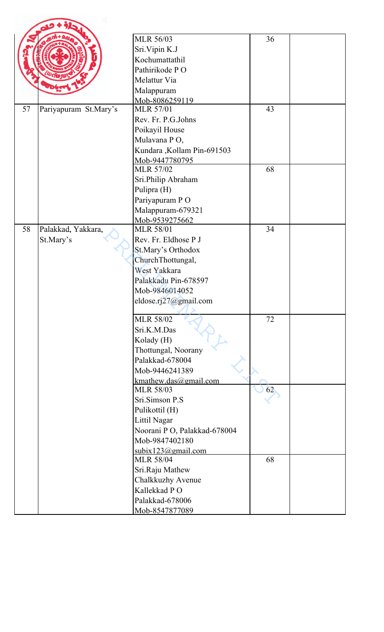|    |                       | <b>MLR 56/03</b>                       | 36 |  |
|----|-----------------------|----------------------------------------|----|--|
|    |                       | Sri.Vipin K.J                          |    |  |
|    |                       | Kochumattathil                         |    |  |
|    |                       | Pathirikode PO                         |    |  |
|    |                       |                                        |    |  |
|    |                       | Melattur Via                           |    |  |
|    |                       | Malappuram                             |    |  |
| 57 |                       | Mob-8086259119<br><b>MLR 57/01</b>     | 43 |  |
|    | Pariyapuram St.Mary's | Rev. Fr. P.G.Johns                     |    |  |
|    |                       |                                        |    |  |
|    |                       | Poikayil House                         |    |  |
|    |                       | Mulavana PO,                           |    |  |
|    |                       | Kundara , Kollam Pin-691503            |    |  |
|    |                       | Mob-9447780795<br><b>MLR 57/02</b>     | 68 |  |
|    |                       |                                        |    |  |
|    |                       | Sri.Philip Abraham                     |    |  |
|    |                       | Pulipra (H)                            |    |  |
|    |                       | Pariyapuram PO                         |    |  |
|    |                       | Malappuram-679321                      |    |  |
|    |                       | Mob-9539275662                         |    |  |
| 58 | Palakkad, Yakkara,    | <b>MLR 58/01</b>                       | 34 |  |
|    | St.Mary's             | Rev. Fr. Eldhose P J                   |    |  |
|    |                       | St.Mary's Orthodox                     |    |  |
|    |                       | ChurchThottungal,                      |    |  |
|    |                       | West Yakkara                           |    |  |
|    |                       | Palakkadu Pin-678597                   |    |  |
|    |                       | Mob-9846014052                         |    |  |
|    |                       | eldose.rj27@gmail.com                  |    |  |
|    |                       |                                        |    |  |
|    |                       | <b>MLR 58/02</b>                       | 72 |  |
|    |                       | Sri.K.M.Das                            |    |  |
|    |                       | Kolady (H)                             |    |  |
|    |                       | Thottungal, Noorany                    |    |  |
|    |                       | Palakkad-678004                        |    |  |
|    |                       | Mob-9446241389                         |    |  |
|    |                       | kmathew.das@gmail.com                  |    |  |
|    |                       | <b>MLR 58/03</b>                       | 62 |  |
|    |                       | Sri.Simson P.S                         |    |  |
|    |                       | Pulikottil (H)                         |    |  |
|    |                       | Littil Nagar                           |    |  |
|    |                       | Noorani P O, Palakkad-678004           |    |  |
|    |                       | Mob-9847402180                         |    |  |
|    |                       | subix123@gmail.com<br><b>MLR 58/04</b> | 68 |  |
|    |                       |                                        |    |  |
|    |                       | Sri.Raju Mathew                        |    |  |
|    |                       | Chalkkuzhy Avenue                      |    |  |
|    |                       | Kallekkad PO                           |    |  |
|    |                       | Palakkad-678006                        |    |  |
|    |                       | Mob-8547877089                         |    |  |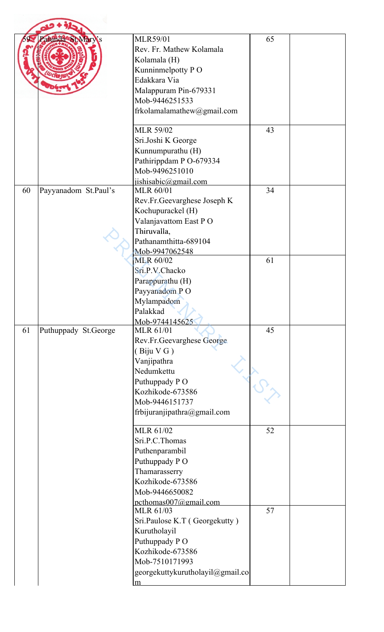|    | Palunda St Marws     | <b>MLR59/01</b><br>Rev. Fr. Mathew Kolamala<br>Kolamala (H)<br>Kunninmelpotty PO<br>Edakkara Via<br>Malappuram Pin-679331<br>Mob-9446251533<br>frkolamalamathew@gmail.com      | 65 |  |
|----|----------------------|--------------------------------------------------------------------------------------------------------------------------------------------------------------------------------|----|--|
|    |                      | <b>MLR 59/02</b><br>Sri.Joshi K George<br>Kunnumpurathu (H)<br>Pathirippdam P O-679334<br>Mob-9496251010<br>jishisabic@gmail.com                                               | 43 |  |
| 60 | Payyanadom St.Paul's | <b>MLR 60/01</b><br>Rev.Fr.Geevarghese Joseph K<br>Kochupurackel (H)<br>Valanjavattom East PO<br>Thiruvalla,<br>Pathanamthitta-689104<br>Mob-9947062548                        | 34 |  |
|    |                      | <b>MLR 60/02</b><br>Sri.P.V.Chacko<br>Parappurathu (H)<br>Payyanadom PO<br>Mylampadom<br>Palakkad<br>Mob-9744145625                                                            | 61 |  |
| 61 | Puthuppady St.George | <b>MLR 61/01</b><br>Rev.Fr.Geevarghese George<br>(Biju V G)<br>Vanjipathra<br>Nedumkettu<br>Puthuppady PO<br>Kozhikode-673586<br>Mob-9446151737<br>frbijuranjipathra@gmail.com | 45 |  |
|    |                      | MLR 61/02<br>Sri.P.C.Thomas<br>Puthenparambil<br>Puthuppady PO<br>Thamarasserry<br>Kozhikode-673586<br>Mob-9446650082<br>pcthomas007@gmail.com                                 | 52 |  |
|    |                      | MLR 61/03<br>Sri.Paulose K.T (Georgekutty)<br>Kurutholayil<br>Puthuppady PO<br>Kozhikode-673586<br>Mob-7510171993<br>georgekuttykurutholayil@gmail.co<br>m                     | 57 |  |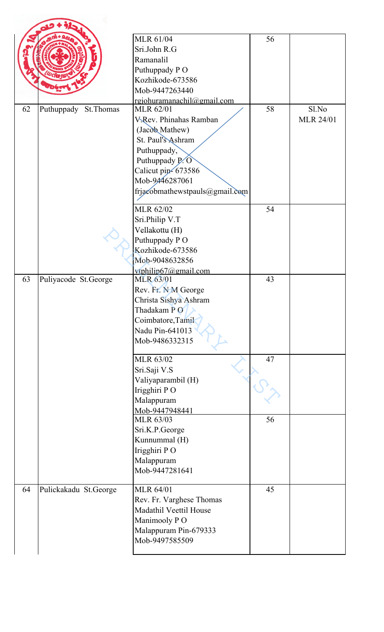|    |                       | <b>MLR 61/04</b>                               | 56 |                  |
|----|-----------------------|------------------------------------------------|----|------------------|
|    |                       | Sri.John R.G                                   |    |                  |
|    |                       | Ramanalil                                      |    |                  |
|    |                       | Puthuppady PO                                  |    |                  |
|    |                       | Kozhikode-673586                               |    |                  |
|    |                       | Mob-9447263440                                 |    |                  |
|    |                       |                                                |    |                  |
| 62 | Puthuppady St. Thomas | rgjohuramanachil@gmail.com<br><b>MLR 62/01</b> | 58 | Sl.No            |
|    |                       | <b>V.Rev. Phinahas Ramban</b>                  |    | <b>MLR 24/01</b> |
|    |                       | (Jacob Mathew)                                 |    |                  |
|    |                       | St. Paul's Ashram                              |    |                  |
|    |                       |                                                |    |                  |
|    |                       | Puthuppady,                                    |    |                  |
|    |                       | Puthuppady P.O                                 |    |                  |
|    |                       | Calicut pip-673586                             |    |                  |
|    |                       | Mob-9446287061                                 |    |                  |
|    |                       | frjacobmathewstpauls@gmail.com                 |    |                  |
|    |                       | MLR 62/02                                      | 54 |                  |
|    |                       | Sri.Philip V.T                                 |    |                  |
|    |                       | Vellakottu (H)                                 |    |                  |
|    |                       | Puthuppady PO                                  |    |                  |
|    |                       | Kozhikode-673586                               |    |                  |
|    |                       | Mob-9048632856                                 |    |                  |
|    |                       | vtphilip67@gmail.com                           |    |                  |
| 63 | Puliyacode St.George  | <b>MLR 63/01</b>                               | 43 |                  |
|    |                       | Rev. Fr. N M George                            |    |                  |
|    |                       | Christa Sishya Ashram                          |    |                  |
|    |                       | Thadakam PO                                    |    |                  |
|    |                       | Coimbatore, Tamil                              |    |                  |
|    |                       | Nadu Pin-641013                                |    |                  |
|    |                       | Mob-9486332315                                 |    |                  |
|    |                       | MLR 63/02                                      | 47 |                  |
|    |                       | Sri.Saji V.S                                   |    |                  |
|    |                       | Valiyaparambil (H)                             |    |                  |
|    |                       | Irigghiri PO                                   |    |                  |
|    |                       | Malappuram                                     |    |                  |
|    |                       | Mob-9447948441                                 |    |                  |
|    |                       | MLR 63/03                                      | 56 |                  |
|    |                       | Sri.K.P.George                                 |    |                  |
|    |                       | Kunnummal (H)                                  |    |                  |
|    |                       | Irigghiri PO                                   |    |                  |
|    |                       | Malappuram                                     |    |                  |
|    |                       | Mob-9447281641                                 |    |                  |
| 64 | Pulickakadu St.George | <b>MLR 64/01</b>                               | 45 |                  |
|    |                       | Rev. Fr. Varghese Thomas                       |    |                  |
|    |                       | Madathil Veettil House                         |    |                  |
|    |                       | Manimooly PO                                   |    |                  |
|    |                       | Malappuram Pin-679333                          |    |                  |
|    |                       | Mob-9497585509                                 |    |                  |
|    |                       |                                                |    |                  |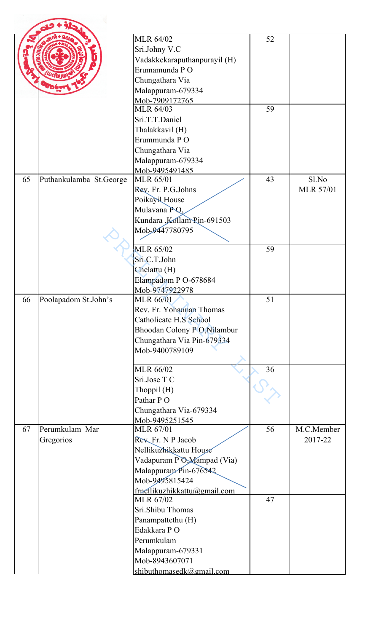|    |                         | <b>MLR 64/02</b>             | 52 |                  |
|----|-------------------------|------------------------------|----|------------------|
|    |                         |                              |    |                  |
|    |                         | Sri.Johny V.C                |    |                  |
|    |                         | Vadakkekaraputhanpurayil (H) |    |                  |
|    |                         | Erumamunda PO                |    |                  |
|    |                         | Chungathara Via              |    |                  |
|    |                         | Malappuram-679334            |    |                  |
|    |                         | Mob-7909172765               |    |                  |
|    |                         | MLR 64/03                    | 59 |                  |
|    |                         | Sri.T.T.Daniel               |    |                  |
|    |                         | Thalakkavil (H)              |    |                  |
|    |                         | Erummunda PO                 |    |                  |
|    |                         | Chungathara Via              |    |                  |
|    |                         | Malappuram-679334            |    |                  |
|    |                         | Mob-9495491485               |    |                  |
| 65 | Puthankulamba St.George | <b>MLR 65/01</b>             | 43 | Sl.No            |
|    |                         | Rev. Fr. P.G.Johns           |    | <b>MLR 57/01</b> |
|    |                         | Poikayil House               |    |                  |
|    |                         | Mulavana PQ,                 |    |                  |
|    |                         | Kundara ,Kollam Pin-691503   |    |                  |
|    |                         | Mob-9447780795               |    |                  |
|    |                         |                              |    |                  |
|    |                         | <b>MLR 65/02</b>             | 59 |                  |
|    |                         | Sri.C.T.John                 |    |                  |
|    |                         | Chelattu (H)                 |    |                  |
|    |                         | Elampadom P O-678684         |    |                  |
|    |                         | Mob-9747922978               |    |                  |
| 66 | Poolapadom St.John's    | <b>MLR 66/01</b>             | 51 |                  |
|    |                         | Rev. Fr. Yohannan Thomas     |    |                  |
|    |                         | Catholicate H.S School       |    |                  |
|    |                         | Bhoodan Colony P O, Nilambur |    |                  |
|    |                         | Chungathara Via Pin-679334   |    |                  |
|    |                         | Mob-9400789109               |    |                  |
|    |                         | <b>MLR 66/02</b>             | 36 |                  |
|    |                         | Sri.Jose T C                 |    |                  |
|    |                         | Thoppil $(H)$                |    |                  |
|    |                         | Pathar PO                    |    |                  |
|    |                         | Chungathara Via-679334       |    |                  |
|    |                         | Mob-9495251545               |    |                  |
| 67 | Perumkulam Mar          | <b>MLR 67/01</b>             | 56 | M.C.Member       |
|    | Gregorios               | Rev Fr. N P Jacob            |    | 2017-22          |
|    |                         | Nellikuzhikkattu House       |    |                  |
|    |                         | Vadapuram PO, Mampad (Via)   |    |                  |
|    |                         | Malappuram Pin-676542        |    |                  |
|    |                         | Mob-9495815424               |    |                  |
|    |                         | frnellikuzhikkattu@gmail.com |    |                  |
|    |                         | <b>MLR 67/02</b>             | 47 |                  |
|    |                         | Sri.Shibu Thomas             |    |                  |
|    |                         | Panampattethu (H)            |    |                  |
|    |                         | Edakkara PO                  |    |                  |
|    |                         | Perumkulam                   |    |                  |
|    |                         | Malappuram-679331            |    |                  |
|    |                         | Mob-8943607071               |    |                  |
|    |                         | shibuthomasedk@gmail.com     |    |                  |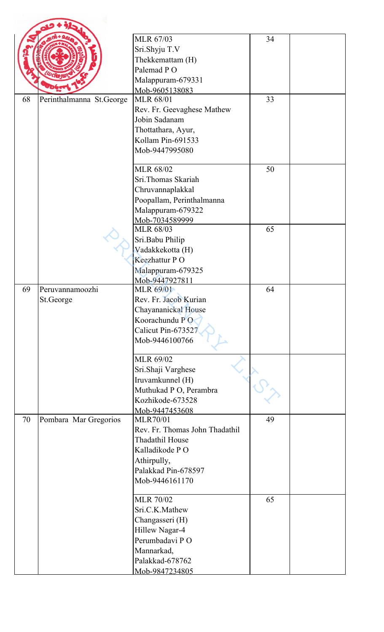|    |                          | MLR 67/03                          | 34 |  |
|----|--------------------------|------------------------------------|----|--|
|    |                          |                                    |    |  |
|    |                          | Sri.Shyju T.V<br>Thekkemattam (H)  |    |  |
|    |                          | Palemad PO                         |    |  |
|    |                          |                                    |    |  |
|    |                          | Malappuram-679331                  |    |  |
| 68 | Perinthalmanna St.George | Mob-9605138083<br><b>MLR 68/01</b> | 33 |  |
|    |                          | Rev. Fr. Geevaghese Mathew         |    |  |
|    |                          | Jobin Sadanam                      |    |  |
|    |                          | Thottathara, Ayur,                 |    |  |
|    |                          | Kollam Pin-691533                  |    |  |
|    |                          | Mob-9447995080                     |    |  |
|    |                          |                                    |    |  |
|    |                          | <b>MLR 68/02</b>                   | 50 |  |
|    |                          | Sri.Thomas Skariah                 |    |  |
|    |                          | Chruvannaplakkal                   |    |  |
|    |                          | Poopallam, Perinthalmanna          |    |  |
|    |                          | Malappuram-679322                  |    |  |
|    |                          | Mob-7034589999                     |    |  |
|    |                          | <b>MLR 68/03</b>                   | 65 |  |
|    |                          | Sri.Babu Philip                    |    |  |
|    |                          | Vadakkekotta (H)                   |    |  |
|    |                          | Keezhattur PO                      |    |  |
|    |                          | Malappuram-679325                  |    |  |
| 69 | Peruvannamoozhi          | Mob-9447927811                     | 64 |  |
|    | St.George                | MLR 69/01<br>Rev. Fr. Jacob Kurian |    |  |
|    |                          | Chayananickal House                |    |  |
|    |                          | Koorachundu PO                     |    |  |
|    |                          | Calicut Pin-673527                 |    |  |
|    |                          | Mob-9446100766                     |    |  |
|    |                          |                                    |    |  |
|    |                          | MLR 69/02                          |    |  |
|    |                          | Sri.Shaji Varghese                 |    |  |
|    |                          | Iruvamkunnel (H)                   |    |  |
|    |                          | Muthukad P O, Perambra             |    |  |
|    |                          | Kozhikode-673528                   |    |  |
|    |                          | Mob-9447453608                     |    |  |
| 70 | Pombara Mar Gregorios    | <b>MLR70/01</b>                    | 49 |  |
|    |                          | Rev. Fr. Thomas John Thadathil     |    |  |
|    |                          | Thadathil House                    |    |  |
|    |                          | Kalladikode PO                     |    |  |
|    |                          | Athirpully,                        |    |  |
|    |                          | Palakkad Pin-678597                |    |  |
|    |                          | Mob-9446161170                     |    |  |
|    |                          | <b>MLR 70/02</b>                   | 65 |  |
|    |                          | Sri.C.K.Mathew                     |    |  |
|    |                          | Changasseri (H)                    |    |  |
|    |                          | Hillew Nagar-4                     |    |  |
|    |                          | Perumbadavi PO                     |    |  |
|    |                          | Mannarkad,                         |    |  |
|    |                          | Palakkad-678762                    |    |  |
|    |                          | Mob-9847234805                     |    |  |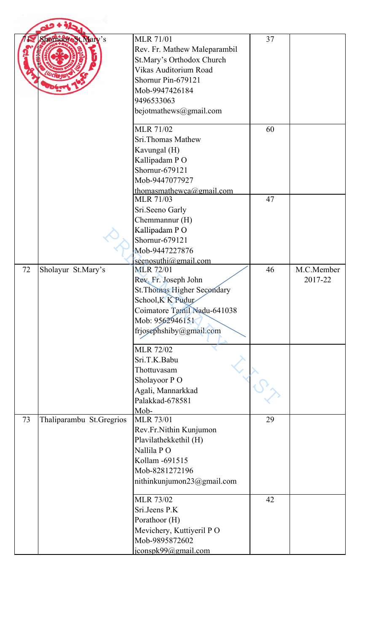|    | ShomooreSt Mary's        | <b>MLR 71/01</b><br>Rev. Fr. Mathew Maleparambil<br>St.Mary's Orthodox Church<br>Vikas Auditorium Road<br>Shornur Pin-679121<br>Mob-9947426184<br>9496533063<br>bejotmathews@gmail.com | 37 |                       |
|----|--------------------------|----------------------------------------------------------------------------------------------------------------------------------------------------------------------------------------|----|-----------------------|
|    |                          | <b>MLR 71/02</b><br>Sri.Thomas Mathew<br>Kavungal (H)<br>Kallipadam PO<br>Shornur-679121<br>Mob-9447077927                                                                             | 60 |                       |
|    |                          | thomasmathewca@gmail.com<br><b>MLR 71/03</b><br>Sri.Seeno Garly<br>Chemmannur (H)<br>Kallipadam PO<br>Shornur-679121<br>Mob-9447227876<br>seenosuthi@gmail.com                         | 47 |                       |
| 72 | Sholayur St.Mary's       | <b>MLR 72/01</b><br>Rev. Fr. Joseph John<br>St. Thomas Higher Secondary<br>School, K K Pudur<br>Coimatore Tamil Nadu-641038<br>Mob: 9562946151<br>frjosephshiby@gmail.com              | 46 | M.C.Member<br>2017-22 |
|    |                          | <b>MLR 72/02</b><br>Sri.T.K.Babu<br>Thottuvasam<br>Sholayoor PO<br>Agali, Mannarkkad<br>Palakkad-678581<br>Mob-                                                                        |    |                       |
| 73 | Thaliparambu St.Gregrios | <b>MLR 73/01</b><br>Rev.Fr.Nithin Kunjumon<br>Plavilathekkethil (H)<br>Nallila PO<br>Kollam - 691515<br>Mob-8281272196<br>nithinkunjumon23@gmail.com                                   | 29 |                       |
|    |                          | <b>MLR 73/02</b><br>Sri.Jeens P.K<br>Porathoor (H)<br>Mevichery, Kuttiyeril PO<br>Mob-9895872602<br>jconspk99@gmail.com                                                                | 42 |                       |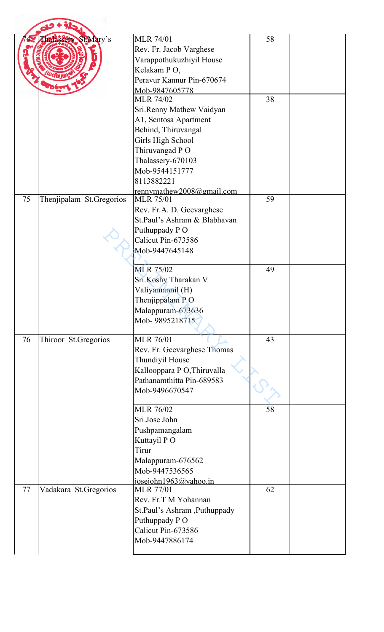|    | <b>halassety SEMary's</b> | <b>MLR 74/01</b><br>Rev. Fr. Jacob Varghese<br>Varappothukuzhiyil House<br>Kelakam PO,<br>Peravur Kannur Pin-670674                                                                                        | 58 |  |
|----|---------------------------|------------------------------------------------------------------------------------------------------------------------------------------------------------------------------------------------------------|----|--|
|    |                           | Mob-9847605778<br><b>MLR 74/02</b><br>Sri.Renny Mathew Vaidyan<br>A1, Sentosa Apartment<br>Behind, Thiruvangal<br>Girls High School<br>Thiruvangad PO<br>Thalassery-670103<br>Mob-9544151777<br>8113882221 | 38 |  |
| 75 | Thenjipalam St.Gregorios  | rennymathew2008@gmail.com<br><b>MLR 75/01</b><br>Rev. Fr.A. D. Geevarghese<br>St.Paul's Ashram & Blabhavan<br>Puthuppady PO<br>Calicut Pin-673586<br>Mob-9447645148                                        | 59 |  |
|    |                           | <b>MLR 75/02</b><br>Sri.Koshy Tharakan V<br>Valiyamannil (H)<br>Thenjippalam PO<br>Malappuram-673636<br>Mob-9895218715                                                                                     | 49 |  |
| 76 | Thiroor St.Gregorios      | <b>MLR 76/01</b><br>Rev. Fr. Geevarghese Thomas<br>Thundiyil House<br>Kallooppara P O, Thiruvalla<br>Pathanamthitta Pin-689583<br>Mob-9496670547                                                           | 43 |  |
|    |                           | <b>MLR 76/02</b><br>Sri.Jose John<br>Pushpamangalam<br>Kuttayil PO<br>Tirur<br>Malappuram-676562<br>Mob-9447536565<br>josejohn1963@yahoo.in                                                                | 58 |  |
| 77 | Vadakara St.Gregorios     | <b>MLR 77/01</b><br>Rev. Fr.T M Yohannan<br>St.Paul's Ashram, Puthuppady<br>Puthuppady PO<br>Calicut Pin-673586<br>Mob-9447886174                                                                          | 62 |  |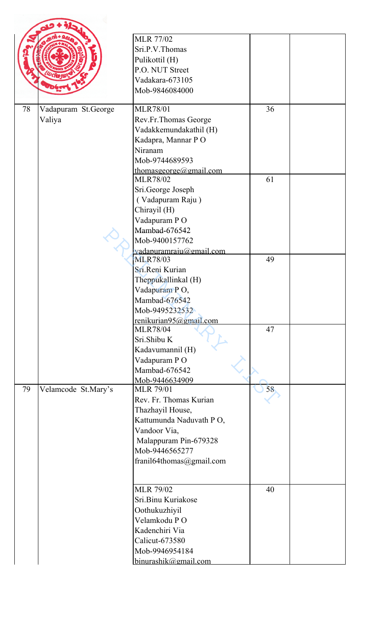|    |                     | <b>MLR 77/02</b>                          |    |  |
|----|---------------------|-------------------------------------------|----|--|
|    |                     | Sri.P.V.Thomas                            |    |  |
|    |                     | Pulikottil (H)                            |    |  |
|    |                     | P.O. NUT Street                           |    |  |
|    |                     | Vadakara-673105                           |    |  |
|    |                     | Mob-9846084000                            |    |  |
| 78 | Vadapuram St.George | <b>MLR78/01</b>                           | 36 |  |
|    | Valiya              | Rev.Fr.Thomas George                      |    |  |
|    |                     | Vadakkemundakathil (H)                    |    |  |
|    |                     | Kadapra, Mannar PO                        |    |  |
|    |                     | Niranam                                   |    |  |
|    |                     | Mob-9744689593                            |    |  |
|    |                     | thomasgeorge@gmail.com<br><b>MLR78/02</b> | 61 |  |
|    |                     | Sri.George Joseph                         |    |  |
|    |                     | (Vadapuram Raju)                          |    |  |
|    |                     | Chirayil (H)                              |    |  |
|    |                     | Vadapuram PO                              |    |  |
|    |                     | Mambad-676542                             |    |  |
|    |                     | Mob-9400157762                            |    |  |
|    |                     | vadapuramraju@gmail.com                   |    |  |
|    |                     | <b>MLR78/03</b>                           | 49 |  |
|    |                     | Sri.Reni Kurian                           |    |  |
|    |                     | Theppukallinkal (H)                       |    |  |
|    |                     | Vadapuram PO,                             |    |  |
|    |                     | Mambad-676542                             |    |  |
|    |                     | Mob-9495232532                            |    |  |
|    |                     | renikurian95@gmail.com                    |    |  |
|    |                     | <b>MLR78/04</b>                           | 47 |  |
|    |                     | Sri.Shibu K                               |    |  |
|    |                     | Kadavumannil (H)                          |    |  |
|    |                     | Vadapuram PO<br>Mambad-676542             |    |  |
|    |                     | Mob-9446634909                            |    |  |
| 79 | Velamcode St.Mary's | <b>MLR 79/01</b>                          | 58 |  |
|    |                     | Rev. Fr. Thomas Kurian                    |    |  |
|    |                     | Thazhayil House,                          |    |  |
|    |                     | Kattumunda Naduvath PO,                   |    |  |
|    |                     | Vandoor Via,                              |    |  |
|    |                     | Malappuram Pin-679328                     |    |  |
|    |                     | Mob-9446565277                            |    |  |
|    |                     | franil64thomas@gmail.com                  |    |  |
|    |                     |                                           |    |  |
|    |                     | <b>MLR 79/02</b>                          | 40 |  |
|    |                     | Sri.Binu Kuriakose                        |    |  |
|    |                     | Oothukuzhiyil                             |    |  |
|    |                     | Velamkodu PO                              |    |  |
|    |                     | Kadenchiri Via                            |    |  |
|    |                     | Calicut-673580                            |    |  |
|    |                     | Mob-9946954184                            |    |  |
|    |                     | binurashik@gmail.com                      |    |  |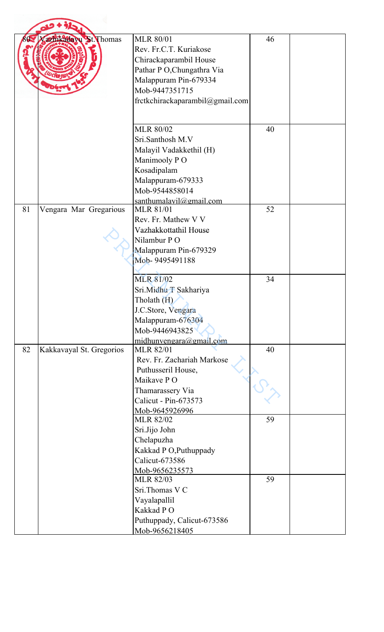| 80 | azhikada vu St. Thomas   | <b>MLR 80/01</b><br>Rev. Fr.C.T. Kuriakose<br>Chirackaparambil House<br>Pathar P O, Chungathra Via<br>Malappuram Pin-679334<br>Mob-9447351715<br>fretkchirackaparambil@gmail.com | 46 |  |
|----|--------------------------|----------------------------------------------------------------------------------------------------------------------------------------------------------------------------------|----|--|
|    |                          | <b>MLR 80/02</b><br>Sri.Santhosh M.V<br>Malayil Vadakkethil (H)<br>Manimooly PO<br>Kosadipalam<br>Malappuram-679333<br>Mob-9544858014                                            | 40 |  |
| 81 | Vengara Mar Gregarious   | santhumalavil@gmail.com<br><b>MLR 81/01</b><br>Rev. Fr. Mathew V V<br>Vazhakkottathil House<br>Nilambur PO<br>Malappuram Pin-679329<br>Mob-9495491188                            | 52 |  |
|    |                          | <b>MLR 81/02</b><br>Sri.Midhu T Sakhariya<br>Tholath (H)<br>J.C.Store, Vengara<br>Malappuram-676304<br>Mob-9446943825<br>midhuman@gmail.com                                      | 34 |  |
| 82 | Kakkavayal St. Gregorios | <b>MLR 82/01</b><br>Rev. Fr. Zachariah Markose<br>Puthusseril House,<br>Maikave PO<br>Thamarassery Via<br>Calicut - Pin-673573<br>Mob-9645926996                                 | 40 |  |
|    |                          | <b>MLR 82/02</b><br>Sri.Jijo John<br>Chelapuzha<br>Kakkad P O, Puthuppady<br>Calicut-673586<br>Mob-9656235573                                                                    | 59 |  |
|    |                          | <b>MLR 82/03</b><br>Sri.Thomas V C<br>Vayalapallil<br>Kakkad PO<br>Puthuppady, Calicut-673586<br>Mob-9656218405                                                                  | 59 |  |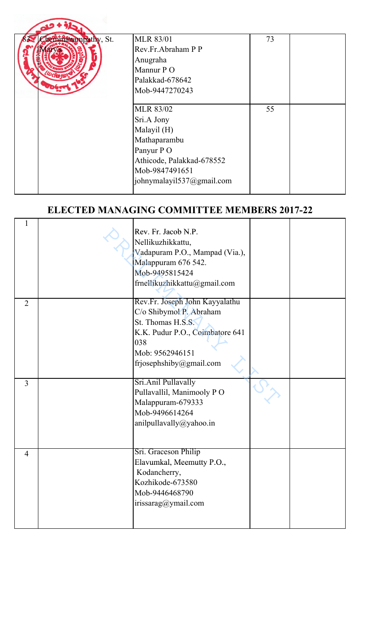| Chemmanampathy, St. | <b>MLR 83/01</b>          | 73 |  |
|---------------------|---------------------------|----|--|
|                     | Rev.Fr.Abraham P P        |    |  |
|                     | Anugraha                  |    |  |
|                     | Mannur P O                |    |  |
|                     | Palakkad-678642           |    |  |
|                     | Mob-9447270243            |    |  |
|                     |                           |    |  |
|                     | <b>MLR 83/02</b>          | 55 |  |
|                     | Sri.A Jony                |    |  |
|                     | Malayil (H)               |    |  |
|                     | Mathaparambu              |    |  |
|                     | Panyur PO                 |    |  |
|                     | Athicode, Palakkad-678552 |    |  |
|                     | Mob-9847491651            |    |  |
|                     | johnymalayil537@gmail.com |    |  |
|                     |                           |    |  |

## **ELECTED MANAGING COMMITTEE MEMBERS 2017-22**

| $\mathbf{1}$   | Rev. Fr. Jacob N.P.<br>Nellikuzhikkattu,<br>Vadapuram P.O., Mampad (Via.),<br>Malappuram 676 542.<br>Mob-9495815424<br>frnellikuzhikkattu@gmail.com |  |
|----------------|-----------------------------------------------------------------------------------------------------------------------------------------------------|--|
|                | Rev.Fr. Joseph John Kayyalathu                                                                                                                      |  |
| $\overline{2}$ | C/o Shibymol P. Abraham                                                                                                                             |  |
|                | St. Thomas H.S.S.                                                                                                                                   |  |
|                | K.K. Pudur P.O., Coimbatore 641                                                                                                                     |  |
|                | 038                                                                                                                                                 |  |
|                | Mob: 9562946151                                                                                                                                     |  |
|                | frjosephshiby@gmail.com                                                                                                                             |  |
|                |                                                                                                                                                     |  |
| $\overline{3}$ | Sri.Anil Pullavally                                                                                                                                 |  |
|                | Pullavallil, Manimooly PO                                                                                                                           |  |
|                | Malappuram-679333                                                                                                                                   |  |
|                | Mob-9496614264                                                                                                                                      |  |
|                | anilpullavally@yahoo.in                                                                                                                             |  |
|                |                                                                                                                                                     |  |
| $\overline{4}$ | Sri. Graceson Philip                                                                                                                                |  |
|                | Elavumkal, Meemutty P.O.,                                                                                                                           |  |
|                | Kodancherry,                                                                                                                                        |  |
|                | Kozhikode-673580                                                                                                                                    |  |
|                | Mob-9446468790                                                                                                                                      |  |
|                | irissarag@ymail.com                                                                                                                                 |  |
|                |                                                                                                                                                     |  |
|                |                                                                                                                                                     |  |